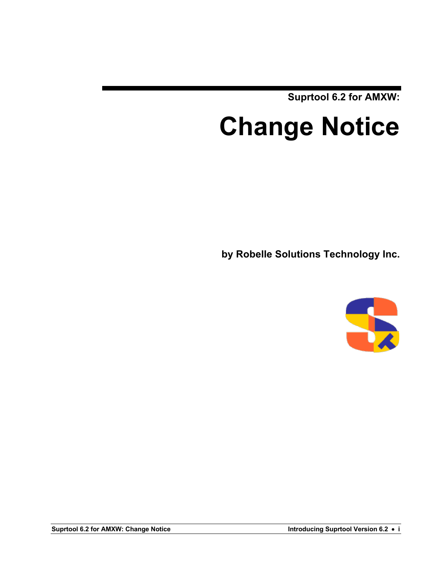**Suprtool 6.2 for AMXW:**

# **Change Notice**

**by Robelle Solutions Technology Inc.**

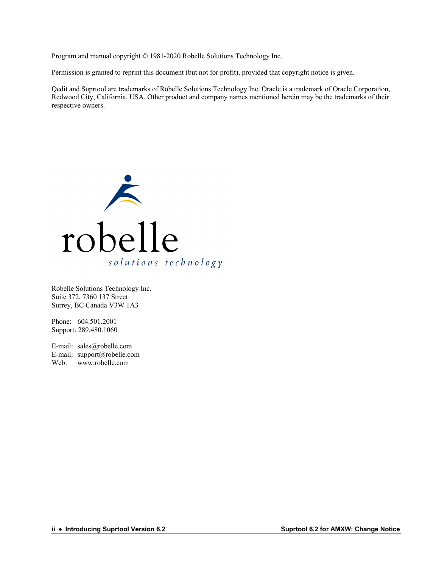Program and manual copyright © 1981-2020 Robelle Solutions Technology Inc.

Permission is granted to reprint this document (but not for profit), provided that copyright notice is given.

Qedit and Suprtool are trademarks of Robelle Solutions Technology Inc. Oracle is a trademark of Oracle Corporation, Redwood City, California, USA. Other product and company names mentioned herein may be the trademarks of their respective owners.



Robelle Solutions Technology Inc. Suite 372, 7360 137 Street Surrey, BC Canada V3W 1A3

Phone: 604.501.2001 Support: 289.480.1060

E-mail: sales@robelle.com E-mail: support@robelle.com Web: www.robelle.com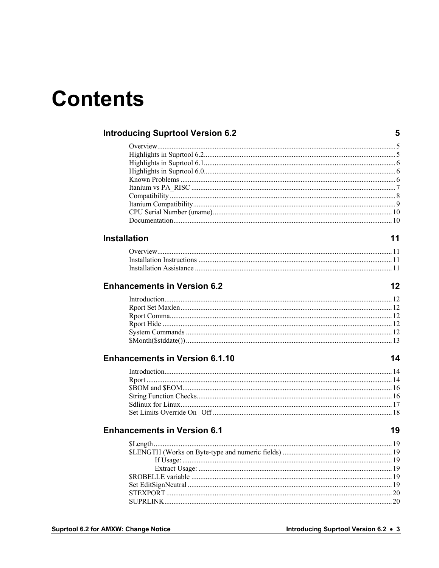## **Contents**

#### **Introducing Suprtool Version 6.2**

#### **Installation**

#### **Enhancements in Version 6.2**

#### **Enhancements in Version 6.1.10**

#### **Enhancements in Version 6.1**

5

 $11$ 

 $12$ 

 $14$ 

19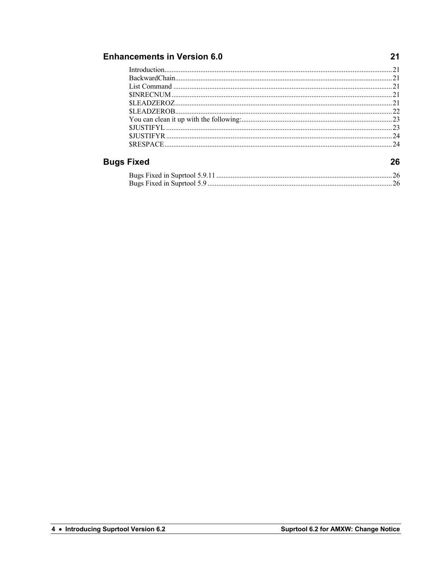#### **Enhancements in Version 6.0**

| <b>Bugs Fixed</b> |    |
|-------------------|----|
|                   | 24 |
|                   | 24 |
|                   |    |
|                   |    |
|                   |    |
|                   |    |
|                   |    |
|                   |    |
|                   |    |
|                   |    |

 $21$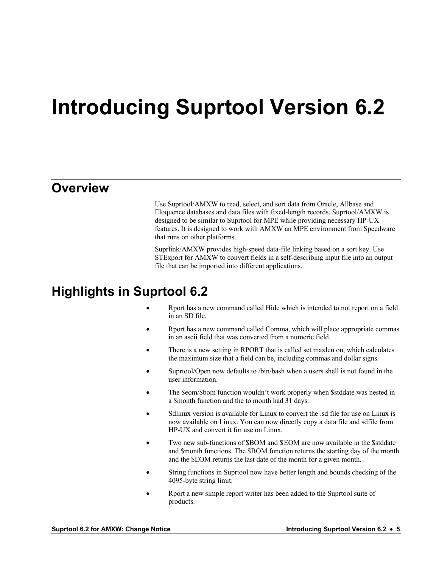# **Introducing Suprtool Version 6.2**

#### **Overview**

Use Suprtool/AMXW to read, select, and sort data from Oracle, Allbase and Eloquence databases and data files with fixed-length records. Suprtool/AMXW is designed to be similar to Suprtool for MPE while providing necessary HP-UX features. It is designed to work with AMXW an MPE environment from Speedware that runs on other platforms.

Suprlink/AMXW provides high-speed data-file linking based on a sort key. Use STExport for AMXW to convert fields in a self-describing input file into an output file that can be imported into different applications.

#### **Highlights in Suprtool 6.2**

- Rport has a new command called Hide which is intended to not report on a field in an SD file.
- Rport has a new command called Comma, which will place appropriate commas in an ascii field that was converted from a numeric field.
- There is a new setting in RPORT that is called set maxlen on, which calculates the maximum size that a field can be, including commas and dollar signs.
- Suprtool/Open now defaults to /bin/bash when a users shell is not found in the user information.
- The \$eom/\$bom function wouldn't work properly when \$stddate was nested in a \$month function and the to month had 31 days.
- Sdlinux version is available for Linux to convert the .sd file for use on Linux is now available on Linux. You can now directly copy a data file and sdfile from HP-UX and convert it for use on Linux.
- Two new sub-functions of \$BOM and \$EOM are now available in the \$stddate and \$month functions. The \$BOM function returns the starting day of the month and the \$EOM returns the last date of the month for a given month.
- String functions in Suprtool now have better length and bounds checking of the 4095-byte string limit.
- Rport a new simple report writer has been added to the Suprtool suite of products.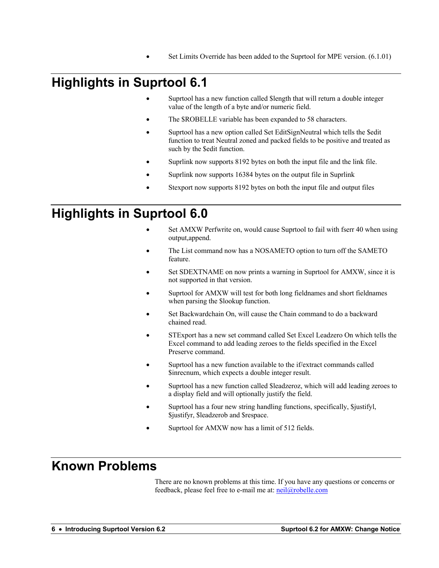• Set Limits Override has been added to the Suprtool for MPE version. (6.1.01)

## **Highlights in Suprtool 6.1**

- Suprtool has a new function called \$length that will return a double integer value of the length of a byte and/or numeric field.
- The \$ROBELLE variable has been expanded to 58 characters.
- Suprtool has a new option called Set EditSignNeutral which tells the \$edit function to treat Neutral zoned and packed fields to be positive and treated as such by the \$edit function.
- Suprlink now supports 8192 bytes on both the input file and the link file.
- Suprlink now supports 16384 bytes on the output file in Suprlink
- Stexport now supports 8192 bytes on both the input file and output files

### **Highlights in Suprtool 6.0**

- Set AMXW Perfwrite on, would cause Suprtool to fail with fserr 40 when using output,append.
- The List command now has a NOSAMETO option to turn off the SAMETO feature.
- Set SDEXTNAME on now prints a warning in Suprtool for AMXW, since it is not supported in that version.
- Suprtool for AMXW will test for both long fieldnames and short fieldnames when parsing the \$lookup function.
- Set Backwardchain On, will cause the Chain command to do a backward chained read.
- STExport has a new set command called Set Excel Leadzero On which tells the Excel command to add leading zeroes to the fields specified in the Excel Preserve command.
- Suprtool has a new function available to the if/extract commands called \$inrecnum, which expects a double integer result.
- Suprtool has a new function called \$leadzeroz, which will add leading zeroes to a display field and will optionally justify the field.
- Suprtool has a four new string handling functions, specifically, \$justifyl, \$justifyr, \$leadzerob and \$respace.
- Suprtool for AMXW now has a limit of 512 fields.

#### **Known Problems**

There are no known problems at this time. If you have any questions or concerns or feedback, please feel free to e-mail me at: neil@robelle.com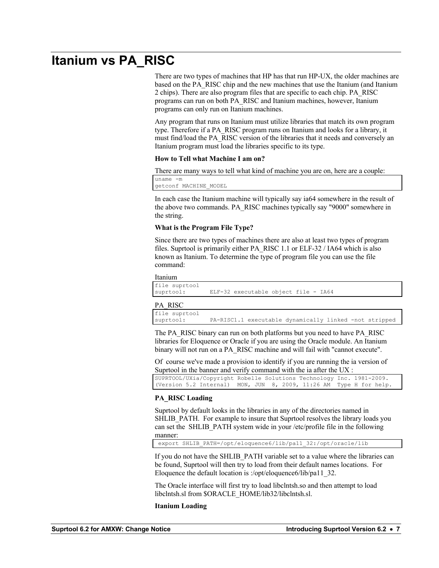### **Itanium vs PA\_RISC**

There are two types of machines that HP has that run HP-UX, the older machines are based on the PA\_RISC chip and the new machines that use the Itanium (and Itanium 2 chips). There are also program files that are specific to each chip. PA\_RISC programs can run on both PA\_RISC and Itanium machines, however, Itanium programs can only run on Itanium machines.

Any program that runs on Itanium must utilize libraries that match its own program type. Therefore if a PA\_RISC program runs on Itanium and looks for a library, it must find/load the PA\_RISC version of the libraries that it needs and conversely an Itanium program must load the libraries specific to its type.

#### **How to Tell what Machine I am on?**

There are many ways to tell what kind of machine you are on, here are a couple:

uname -m getconf MACHINE\_MODEL

In each case the Itanium machine will typically say ia64 somewhere in the result of the above two commands. PA\_RISC machines typically say "9000" somewhere in the string.

#### **What is the Program File Type?**

Since there are two types of machines there are also at least two types of program files. Suprtool is primarily either PA\_RISC 1.1 or ELF-32 / IA64 which is also known as Itanium. To determine the type of program file you can use the file command:

#### Itanium

```
file suprtool
                ELF-32 executable object file - IA64
```
#### PA\_RISC

file suprtool suprtool: PA-RISC1.1 executable dynamically linked -not stripped

The PA\_RISC binary can run on both platforms but you need to have PA\_RISC libraries for Eloquence or Oracle if you are using the Oracle module. An Itanium binary will not run on a PA\_RISC machine and will fail with "cannot execute".

Of course we've made a provision to identify if you are running the ia version of Suprtool in the banner and verify command with the ia after the UX :

SUPRTOOL/UXia/Copyright Robelle Solutions Technology Inc. 1981-2009. (Version 5.2 Internal) MON, JUN 8, 2009, 11:26 AM Type H for help.

#### **PA\_RISC Loading**

Suprtool by default looks in the libraries in any of the directories named in SHLIB\_PATH. For example to insure that Suprtool resolves the library loads you can set the SHLIB\_PATH system wide in your /etc/profile file in the following manner:

export SHLIB\_PATH=/opt/eloquence6/lib/pa11\_32:/opt/oracle/lib

If you do not have the SHLIB\_PATH variable set to a value where the libraries can be found, Suprtool will then try to load from their default names locations. For Eloquence the default location is :/opt/eloquence6/lib/pa11\_32.

The Oracle interface will first try to load libclntsh.so and then attempt to load libclntsh.sl from \$ORACLE\_HOME/lib32/libclntsh.sl.

#### **Itanium Loading**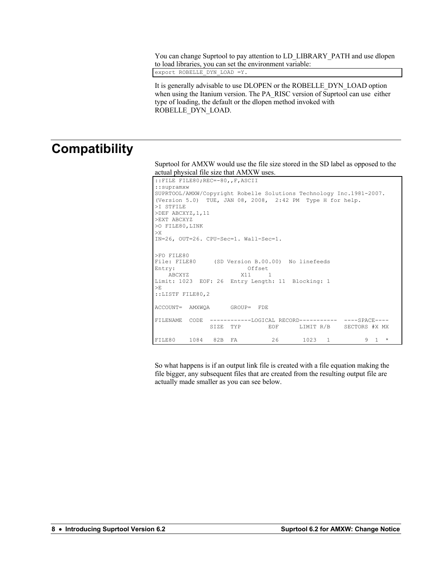You can change Suprtool to pay attention to LD\_LIBRARY\_PATH and use dlopen to load libraries, you can set the environment variable:

export ROBELLE\_DYN\_LOAD =Y.

It is generally advisable to use DLOPEN or the ROBELLE\_DYN\_LOAD option when using the Itanium version. The PA\_RISC version of Suprtool can use either type of loading, the default or the dlopen method invoked with ROBELLE\_DYN\_LOAD.

#### **Compatibility**

Suprtool for AMXW would use the file size stored in the SD label as opposed to the actual physical file size that AMXW uses.

```
::FILE FILE80;REC=-80,,F,ASCII
::supramxw
SUPRTOOL/AMXW/Copyright Robelle Solutions Technology Inc.1981-2007.
(Version 5.0) TUE, JAN 08, 2008, 2:42 PM Type H for help.
>I STFILE
>DEF ABCXYZ,1,11
>EXT ABCXYZ
>O FILE80,LINK
>\!\! \timesIN=26, OUT=26. CPU-Sec=1. Wall-Sec=1.
>FO FILE80
File: FILE80 (SD Version B.00.00) No linefeeds
Entry: Offset
ABCXYZ X11 1
Limit: 1023 EOF: 26 Entry Length: 11 Blocking: 1
\mathord{>} \mathord{\text{\rm E}}::LISTF FILE80,2
ACCOUNT= AMXWQA GROUP= FDE
FILENAME CODE ------------LOGICAL RECORD----------- ----SPACE----<br>SIZE TYP EOF LIMIT R/B SECTORS #X MX
                SIZE TYP EOF LIMIT R/B SECTORS #X MX
FILE80 1084 82B FA 26 1023 1 9 1 *
```
So what happens is if an output link file is created with a file equation making the file bigger, any subsequent files that are created from the resulting output file are actually made smaller as you can see below.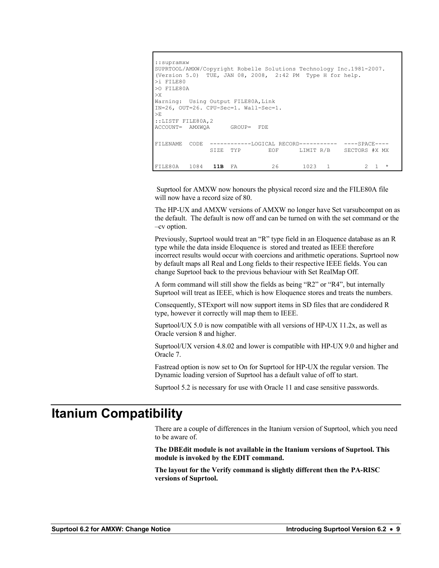| ::supramxw<br>SUPRTOOL/AMXW/Copyright Robelle Solutions Technology Inc.1981-2007.<br>(Version 5.0) TUE, JAN 08, 2008, 2:42 PM Type H for help.<br>$>1$ FTLE80<br>$>0$ FTLE80A |                                      |            |                          |  |  |  |
|-------------------------------------------------------------------------------------------------------------------------------------------------------------------------------|--------------------------------------|------------|--------------------------|--|--|--|
| $>$ $\times$                                                                                                                                                                  |                                      |            |                          |  |  |  |
| Warning: Using Output FILE80A, Link<br>IN=26, OUT=26. CPU-Sec=1. Wall-Sec=1.<br>$>$ F.                                                                                        |                                      |            |                          |  |  |  |
| ::LISTF FILE80A, 2                                                                                                                                                            |                                      |            |                          |  |  |  |
| ACCOUNT= AMXWOA GROUP= FDE                                                                                                                                                    |                                      |            |                          |  |  |  |
| FILENAME        CODE    -----------LOGICAL        RECORD----------    ----SPACE----                                                                                           |                                      |            |                          |  |  |  |
|                                                                                                                                                                               | SIZE TYP GOF LIMIT R/B SECTORS #X MX |            |                          |  |  |  |
| FILE80A 1084 11B FA                                                                                                                                                           | 26                                   | $1023 - 1$ | $\mathcal{P}$<br>$\star$ |  |  |  |

Suprtool for AMXW now honours the physical record size and the FILE80A file will now have a record size of 80.

The HP-UX and AMXW versions of AMXW no longer have Set varsubcompat on as the default. The default is now off and can be turned on with the set command or the –cv option.

Previously, Suprtool would treat an "R" type field in an Eloquence database as an R type while the data inside Eloquence is stored and treated as IEEE therefore incorrect results would occur with coercions and arithmetic operations. Suprtool now by default maps all Real and Long fields to their respective IEEE fields. You can change Suprtool back to the previous behaviour with Set RealMap Off.

A form command will still show the fields as being "R2" or "R4", but internally Suprtool will treat as IEEE, which is how Eloquence stores and treats the numbers.

Consequently, STExport will now support items in SD files that are condidered R type, however it correctly will map them to IEEE.

Suprtool/UX 5.0 is now compatible with all versions of HP-UX 11.2x, as well as Oracle version 8 and higher.

Suprtool/UX version 4.8.02 and lower is compatible with HP-UX 9.0 and higher and Oracle 7.

Fastread option is now set to On for Suprtool for HP-UX the regular version. The Dynamic loading version of Suprtool has a default value of off to start.

Suprtool 5.2 is necessary for use with Oracle 11 and case sensitive passwords.

#### **Itanium Compatibility**

There are a couple of differences in the Itanium version of Suprtool, which you need to be aware of.

**The DBEdit module is not available in the Itanium versions of Suprtool. This module is invoked by the EDIT command.**

**The layout for the Verify command is slightly different then the PA-RISC versions of Suprtool.**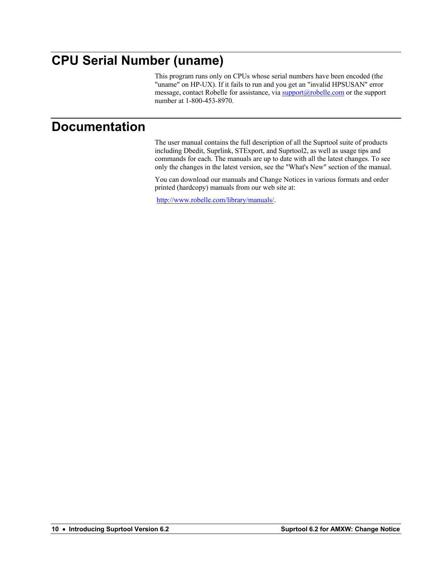## **CPU Serial Number (uname)**

This program runs only on CPUs whose serial numbers have been encoded (the "uname" on HP-UX). If it fails to run and you get an "invalid HPSUSAN" error message, contact Robelle for assistance, via **support**@robelle.com or the support number at 1-800-453-8970.

#### **Documentation**

The user manual contains the full description of all the Suprtool suite of products including Dbedit, Suprlink, STExport, and Suprtool2, as well as usage tips and commands for each. The manuals are up to date with all the latest changes. To see only the changes in the latest version, see the "What's New" section of the manual.

You can download our manuals and Change Notices in various formats and order printed (hardcopy) manuals from our web site at:

http://www.robelle.com/library/manuals/.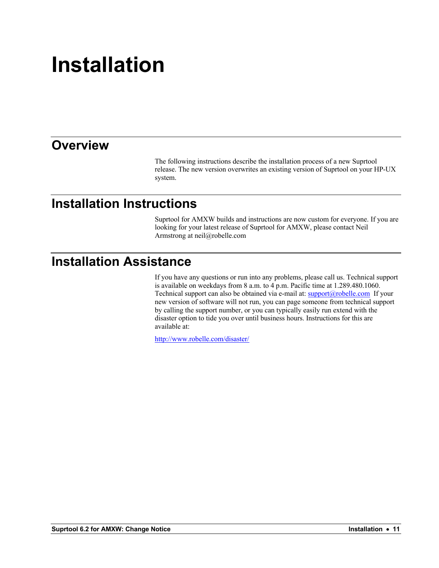# **Installation**

#### **Overview**

The following instructions describe the installation process of a new Suprtool release. The new version overwrites an existing version of Suprtool on your HP-UX system.

#### **Installation Instructions**

Suprtool for AMXW builds and instructions are now custom for everyone. If you are looking for your latest release of Suprtool for AMXW, please contact Neil Armstrong at neil@robelle.com

#### **Installation Assistance**

If you have any questions or run into any problems, please call us. Technical support is available on weekdays from 8 a.m. to 4 p.m. Pacific time at 1.289.480.1060. Technical support can also be obtained via e-mail at:  $\frac{\text{support}(a)}{\text{robot}(a)}$  If your new version of software will not run, you can page someone from technical support by calling the support number, or you can typically easily run extend with the disaster option to tide you over until business hours. Instructions for this are available at:

http://www.robelle.com/disaster/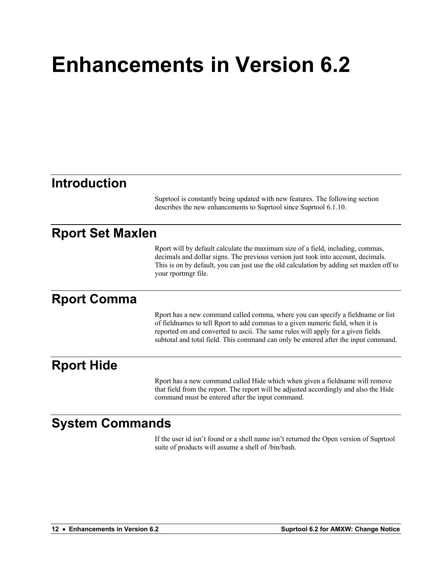# **Enhancements in Version 6.2**

#### **Introduction**

Suprtool is constantly being updated with new features. The following section describes the new enhancements to Suprtool since Suprtool 6.1.10.

#### **Rport Set Maxlen**

Rport will by default calculate the maximum size of a field, including, commas, decimals and dollar signs. The previous version just took into account, decimals. This is on by default, you can just use the old calculation by adding set maxlen off to your rportmgr file.

#### **Rport Comma**

Rport has a new command called comma, where you can specify a fieldname or list of fieldnames to tell Rport to add commas to a given numeric field, when it is reported on and converted to ascii. The same rules will apply for a given fields subtotal and total field. This command can only be entered after the input command.

#### **Rport Hide**

Rport has a new command called Hide which when given a fieldname will remove that field from the report. The report will be adjusted accordingly and also the Hide command must be entered after the input command.

#### **System Commands**

If the user id isn't found or a shell name isn't returned the Open version of Suprtool suite of products will assume a shell of /bin/bash.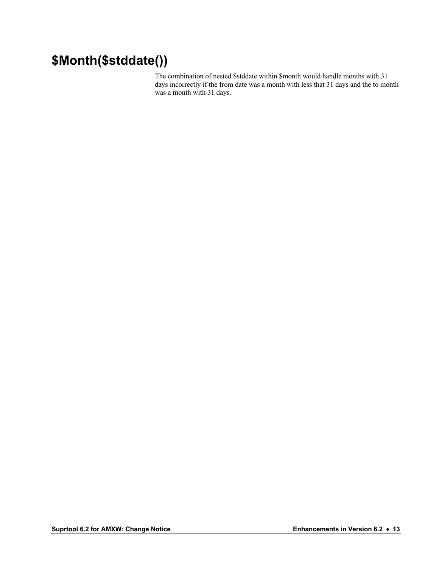## **\$Month(\$stddate())**

The combination of nested \$stddate within \$month would handle months with 31 days incorrectly if the from date was a month with less that 31 days and the to month was a month with 31 days.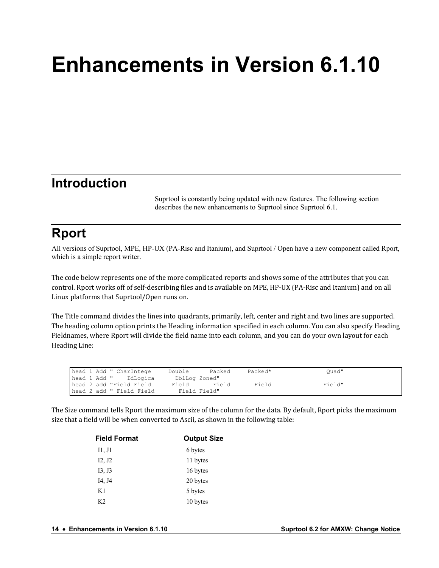# **Enhancements in Version 6.1.10**

#### **Introduction**

Suprtool is constantly being updated with new features. The following section describes the new enhancements to Suprtool since Suprtool 6.1.

### **Rport**

All versions of Suprtool, MPE, HP-UX (PA-Risc and Itanium), and Suprtool / Open have a new component called Rport, which is a simple report writer.

The code below represents one of the more complicated reports and shows some of the attributes that you can control. Rport works off of self-describing files and is available on MPE, HP-UX (PA-Risc and Itanium) and on all Linux platforms that Suprtool/Open runs on.

The Title command divides the lines into quadrants, primarily, left, center and right and two lines are supported. The heading column option prints the Heading information specified in each column. You can also specify Heading Fieldnames, where Rport will divide the field name into each column, and you can do your own layout for each Heading Line:

| head 1 Add " CharIntege  | Double        | Packed | Packed* | Ouad"  |
|--------------------------|---------------|--------|---------|--------|
| head 1 Add " IdLogica    | DblLog Zoned" |        |         |        |
| head 2 add "Field Field  | Field         | Field  | Field   | Field" |
| head 2 add " Field Field | Field Field"  |        |         |        |

The Size command tells Rport the maximum size of the column for the data. By default, Rport picks the maximum size that a field will be when converted to Ascii, as shown in the following table:

| <b>Field Format</b> | <b>Output Size</b> |  |  |  |
|---------------------|--------------------|--|--|--|
| 11, J1              | 6 bytes            |  |  |  |
| I2, J2              | 11 bytes           |  |  |  |
| I3, J3              | 16 bytes           |  |  |  |
| I4, J4              | 20 bytes           |  |  |  |
| K1                  | 5 bytes            |  |  |  |
| K <sub>2</sub>      | 10 bytes           |  |  |  |
|                     |                    |  |  |  |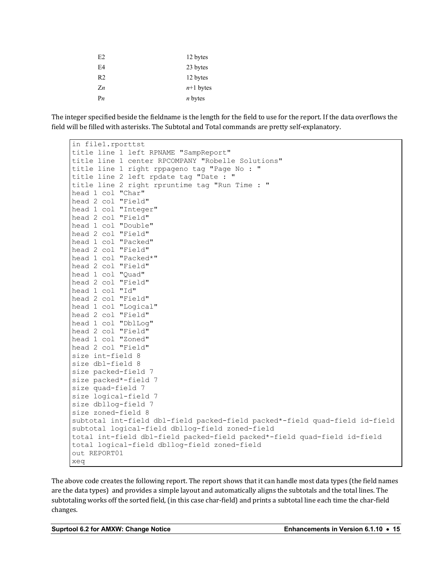| E2             | 12 bytes       |
|----------------|----------------|
| F <sub>4</sub> | 23 bytes       |
| R <sub>2</sub> | 12 bytes       |
| Zn             | $n+1$ bytes    |
| Pn             | <i>n</i> bytes |

The integer specified beside the fieldname is the length for the field to use for the report. If the data overflows the field will be filled with asterisks. The Subtotal and Total commands are pretty self-explanatory.

in file1.rporttst title line 1 left RPNAME "SampReport" title line 1 center RPCOMPANY "Robelle Solutions" title line 1 right rppageno tag "Page No : " title line 2 left rpdate tag "Date : " title line 2 right rpruntime tag "Run Time : " head 1 col "Char" head 2 col "Field" head 1 col "Integer" head 2 col "Field" head 1 col "Double" head 2 col "Field" head 1 col "Packed" head 2 col "Field" head 1 col "Packed\*" head 2 col "Field" head 1 col "Quad" head 2 col "Field" head 1 col "Id" head 2 col "Field" head 1 col "Logical" head 2 col "Field" head 1 col "DblLog" head 2 col "Field" head 1 col "Zoned" head 2 col "Field" size int-field 8 size dbl-field 8 size packed-field 7 size packed\*-field 7 size quad-field 7 size logical-field 7 size dbllog-field 7 size zoned-field 8 subtotal int-field dbl-field packed-field packed\*-field quad-field id-field subtotal logical-field dbllog-field zoned-field total int-field dbl-field packed-field packed\*-field quad-field id-field total logical-field dbllog-field zoned-field out REPORT01 xeq

The above code creates the following report. The report shows that it can handle most data types (the field names are the data types) and provides a simple layout and automatically aligns the subtotals and the total lines. The subtotaling works off the sorted field, (in this case char-field) and prints a subtotal line each time the char-field changes.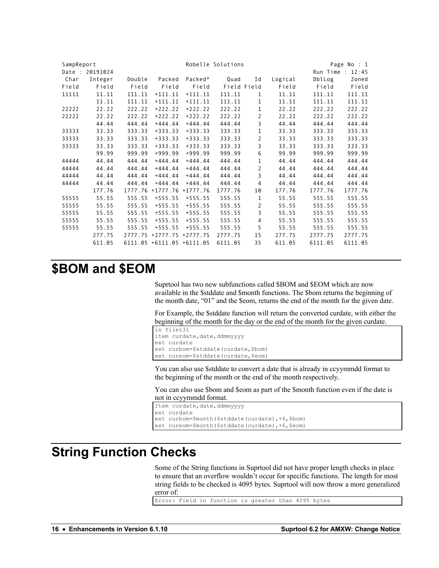| SampReport |                |         |                       |           | Robelle Solutions |                |         |         | Page No : 1      |
|------------|----------------|---------|-----------------------|-----------|-------------------|----------------|---------|---------|------------------|
|            | Date: 20191024 |         |                       |           |                   |                |         |         | Run Time : 12:45 |
| Char       | Integer        | Double  | Packed                | Packed*   | Quad              | Ιd             | Logical | DblLog  | Zoned            |
| Field      | Field          | Field   | Field                 | Field     | Field Field       |                | Field   | Field   | Field            |
| 11111      | 11.11          | 111.11  | $+111.11$             | $+111.11$ | 111.11            | 1              | 11.11   | 111.11  | 111.11           |
|            | 11.11          | 111.11  | $+111.11$             | $+111.11$ | 111.11            | 1              | 11.11   | 111.11  | 111.11           |
| 22222      | 22.22          | 222.22  | $+222.22$             | $+222.22$ | 222.22            | 1              | 22.22   | 222.22  | 222.22           |
| 22222      | 22.22          | 222.22  | $+222.22$             | $+222.22$ | 222.22            | 2              | 22.22   | 222.22  | 222.22           |
|            | 44.44          | 444.44  | $+444.44$             | $+444.44$ | 444.44            | 3              | 44.44   | 444.44  | 444.44           |
| 33333      | 33.33          | 333.33  | $+333.33$             | $+333.33$ | 333.33            | $\mathbf 1$    | 33.33   | 333.33  | 333.33           |
| 33333      | 33.33          | 333.33  | $+333.33$             | $+333.33$ | 333.33            | 2              | 33.33   | 333.33  | 333.33           |
| 33333      | 33.33          | 333.33  | $+333.33$             | $+333.33$ | 333.33            | 3              | 33.33   | 333.33  | 333.33           |
|            | 99.99          | 999.99  | $+999.99$             | $+999.99$ | 999.99            | 6              | 99.99   | 999.99  | 999.99           |
| 44444      | 44.44          | 444.44  | $+444.44$             | $+444.44$ | 444.44            | 1              | 44.44   | 444.44  | 444.44           |
| 44444      | 44.44          | 444.44  | $+444.44$             | $+444.44$ | 444.44            | $\overline{2}$ | 44.44   | 444.44  | 444.44           |
| 44444      | 44.44          | 444.44  | $+444.44$             | $+444.44$ | 444.44            | 3              | 44.44   | 444.44  | 444.44           |
| 44444      | 44.44          | 444.44  | $+444.44$             | $+444.44$ | 444.44            | 4              | 44.44   | 444.44  | 444.44           |
|            | 177.76         | 1777.76 | $+1777.76$ $+1777.76$ |           | 1777.76           | 10             | 177.76  | 1777.76 | 1777.76          |
| 55555      | 55.55          | 555.55  | $+555.55$             | $+555.55$ | 555.55            | 1              | 55.55   | 555.55  | 555.55           |
| 55555      | 55.55          | 555.55  | $+555.55$             | $+555.55$ | 555.55            | 2              | 55.55   | 555.55  | 555.55           |
| 55555      | 55.55          | 555.55  | $+555.55$             | $+555.55$ | 555.55            | 3              | 55.55   | 555.55  | 555.55           |
| 55555      | 55.55          | 555.55  | $+555.55$             | $+555.55$ | 555.55            | 4              | 55.55   | 555.55  | 555.55           |
| 55555      | 55.55          | 555.55  | $+555.55$             | $+555.55$ | 555.55            | 5              | 55.55   | 555.55  | 555.55           |
|            | 277.75         | 2777.75 | +2777.75 +2777.75     |           | 2777.75           | 15             | 277.75  | 2777.75 | 2777.75          |
|            | 611.05         | 6111.05 | $+6111.05 +6111.05$   |           | 6111.05           | 35             | 611.05  | 6111.05 | 6111.05          |

#### **\$BOM and \$EOM**

Suprtool has two new subfunctions called \$BOM and \$EOM which are now available in the \$stddate and \$month functions. The \$bom returns the beginning of the month date, "01" and the \$eom, returns the end of the month for the given date.

For Example, the \$stddate function will return the converted curdate, with either the beginning of the month for the day or the end of the month for the given curdate.

```
in file131
item curdate, date, ddmmyyyy
ext curdate
ext curbom=$stddate(curdate,$bom)
ext cureom=$stddate(curdate, $eom)
```
You can also use \$stddate to convert a date that is already in ccyymmdd format to the beginning of the month or the end of the month respectively.

You can also use \$bom and \$eom as part of the \$month function even if the date is not in ccyymmdd format.

```
Item curdate, date, ddmmyyyy
ext curdate
ext curbom=$month($stddate(curdate),+6,$bom)
ext cureom=$month($stddate(curdate), +6, $eom)
```
### **String Function Checks**

Some of the String functions in Suprtool did not have proper length checks in place to ensure that an overflow wouldn't occur for specific functions. The length for most string fields to be checked is 4095 bytes. Suprtool will now throw a more generalized error of:

Error: Field in function is greater than 4095 bytes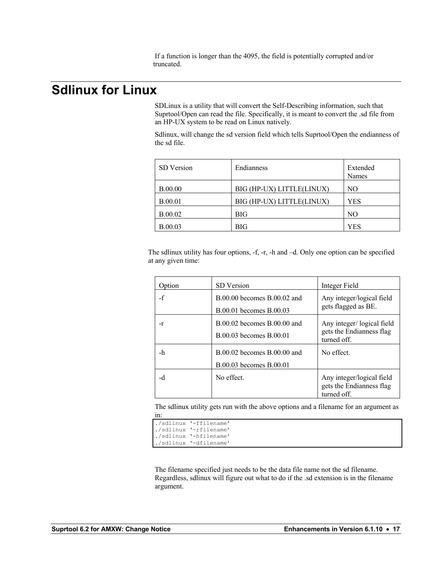If a function is longer than the 4095, the field is potentially corrupted and/or truncated.

#### **Sdlinux for Linux**

SDLinux is a utility that will convert the Self-Describing information, such that Suprtool/Open can read the file. Specifically, it is meant to convert the .sd file from an HP-UX system to be read on Linux natively.

Sdlinux, will change the sd version field which tells Suprtool/Open the endianness of the sd file.

| SD Version     | <b>Endianness</b>         | Extended<br>Names |
|----------------|---------------------------|-------------------|
| <b>B.00.00</b> | BIG (HP-UX) LITTLE(LINUX) | N <sub>O</sub>    |
| <b>B.00.01</b> | BIG (HP-UX) LITTLE(LINUX) | YES               |
| <b>B.00.02</b> | BIG                       | N <sub>O</sub>    |
| <b>B.00.03</b> | <b>BIG</b>                | YES               |

The sdlinux utility has four options, -f, -r, -h and –d. Only one option can be specified at any given time:

| Option | SD Version                                                 | Integer Field                                                        |
|--------|------------------------------------------------------------|----------------------------------------------------------------------|
| $-f$   | $B.00.00$ becomes $B.00.02$ and<br>B.00.01 becomes B.00.03 | Any integer/logical field<br>gets flagged as BE.                     |
| -r     | $B.00.02$ becomes $B.00.00$ and<br>B.00.03 becomes B.00.01 | Any integer/logical field<br>gets the Endianness flag<br>turned off. |
| -h     | $B.00.02$ becomes $B.00.00$ and<br>B.00.03 becomes B.00.01 | No effect.                                                           |
| -d     | No effect.                                                 | Any integer/logical field<br>gets the Endianness flag<br>turned off. |

The sdlinux utility gets run with the above options and a filename for an argument as in:

```
./sdlinux '-ffilename'
./sdlinux '-rfilename'
./sdlinux '-hfilename'
./sdlinux '-dfilename'
```
The filename specified just needs to be the data file name not the sd filename. Regardless, sdlinux will figure out what to do if the .sd extension is in the filename argument.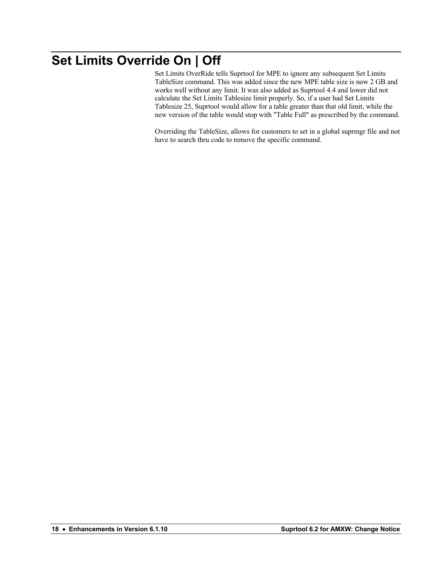## **Set Limits Override On | Off**

Set Limits OverRide tells Suprtool for MPE to ignore any subsequent Set Limits TableSize command. This was added since the new MPE table size is now 2 GB and works well without any limit. It was also added as Suprtool 4.4 and lower did not calculate the Set Limits Tablesize limit properly. So, if a user had Set Limits Tablesize 25, Suprtool would allow for a table greater than that old limit, while the new version of the table would stop with "Table Full" as prescribed by the command.

Overriding the TableSize, allows for customers to set in a global suprmgr file and not have to search thru code to remove the specific command.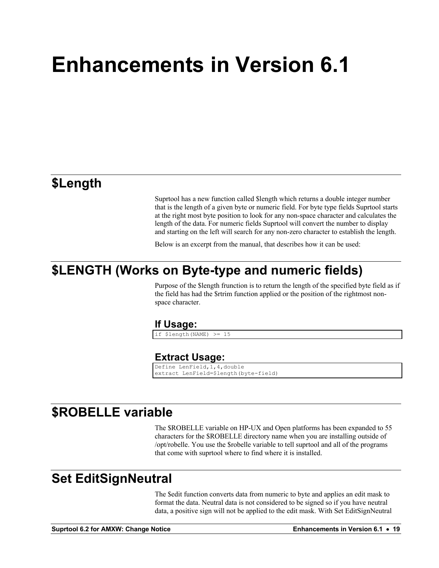# **Enhancements in Version 6.1**

#### **\$Length**

Suprtool has a new function called \$length which returns a double integer number that is the length of a given byte or numeric field. For byte type fields Suprtool starts at the right most byte position to look for any non-space character and calculates the length of the data. For numeric fields Suprtool will convert the number to display and starting on the left will search for any non-zero character to establish the length.

Below is an excerpt from the manual, that describes how it can be used:

#### **\$LENGTH (Works on Byte-type and numeric fields)**

Purpose of the \$length frunction is to return the length of the specified byte field as if the field has had the \$rtrim function applied or the position of the rightmost nonspace character.

#### **If Usage:**

if \$length(NAME) >= 15

#### **Extract Usage:**

```
Define LenField,1,4,double
extract LenField=$length(byte-field)
```
#### **\$ROBELLE variable**

The \$ROBELLE variable on HP-UX and Open platforms has been expanded to 55 characters for the \$ROBELLE directory name when you are installing outside of /opt/robelle. You use the \$robelle variable to tell suprtool and all of the programs that come with suprtool where to find where it is installed.

#### **Set EditSignNeutral**

The \$edit function converts data from numeric to byte and applies an edit mask to format the data. Neutral data is not considered to be signed so if you have neutral data, a positive sign will not be applied to the edit mask. With Set EditSignNeutral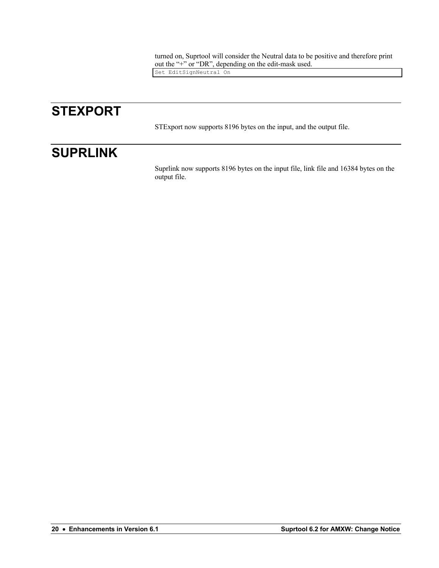turned on, Suprtool will consider the Neutral data to be positive and therefore print out the "+" or "DR", depending on the edit-mask used.

Set EditSignNeutral On

### **STEXPORT**

STExport now supports 8196 bytes on the input, and the output file.

## **SUPRLINK**

Suprlink now supports 8196 bytes on the input file, link file and 16384 bytes on the output file.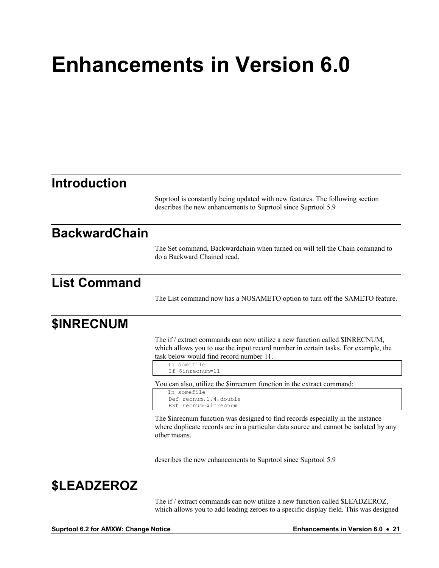# **Enhancements in Version 6.0**

#### **Introduction** Suprtool is constantly being updated with new features. The following section describes the new enhancements to Suprtool since Suprtool 5.9 **BackwardChain** The Set command, Backwardchain when turned on will tell the Chain command to do a Backward Chained read. **List Command** The List command now has a NOSAMETO option to turn off the SAMETO feature. **\$INRECNUM** The if / extract commands can now utilize a new function called \$INRECNUM, which allows you to use the input record number in certain tasks. For example, the task below would find record number 11. In somefile If \$inrecnum=11 You can also, utilize the \$inrecnum function in the extract command: In somefile Def recnum,1,4,double Ext recnum=\$inrecnum The \$inrecnum function was designed to find records especially in the instance where duplicate records are in a particular data source and cannot be isolated by any other means. describes the new enhancements to Suprtool since Suprtool 5.9

### **\$LEADZEROZ**

The if / extract commands can now utilize a new function called \$LEADZEROZ, which allows you to add leading zeroes to a specific display field. This was designed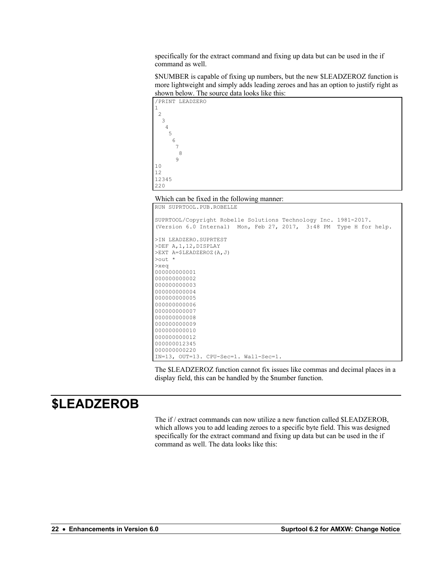specifically for the extract command and fixing up data but can be used in the if command as well.

\$NUMBER is capable of fixing up numbers, but the new \$LEADZEROZ function is more lightweight and simply adds leading zeroes and has an option to justify right as shown below. The source data looks like this:



Which can be fixed in the following manner:

RUN SUPRTOOL.PUB.ROBELLE

| SUPRTOOL/Copyright Robelle Solutions Technology Inc. 1981-2017.    |  |
|--------------------------------------------------------------------|--|
| (Version 6.0 Internal) Mon, Feb 27, 2017, 3:48 PM Type H for help. |  |
|                                                                    |  |
| >IN LEADZERO.SUPRTEST                                              |  |
| >DEF A, 1, 12, DISPLAY                                             |  |
| $>EXT A = $LEADZEROZ (A, J)$                                       |  |
| $\text{Out}$ *                                                     |  |
| $>$ xea                                                            |  |
| 000000000001                                                       |  |
| 000000000002                                                       |  |
| 000000000003                                                       |  |
| 000000000004                                                       |  |
| 000000000005                                                       |  |
| 000000000006                                                       |  |
| 000000000007                                                       |  |
| 000000000008                                                       |  |
| 000000000009                                                       |  |
| 000000000010                                                       |  |
| 000000000012                                                       |  |
| 000000012345                                                       |  |
| 000000000220                                                       |  |
| IN=13, OUT=13. CPU-Sec=1. Wall-Sec=1.                              |  |

The \$LEADZEROZ function cannot fix issues like commas and decimal places in a display field, this can be handled by the \$number function.

#### **\$LEADZEROB**

The if / extract commands can now utilize a new function called \$LEADZEROB, which allows you to add leading zeroes to a specific byte field. This was designed specifically for the extract command and fixing up data but can be used in the if command as well. The data looks like this: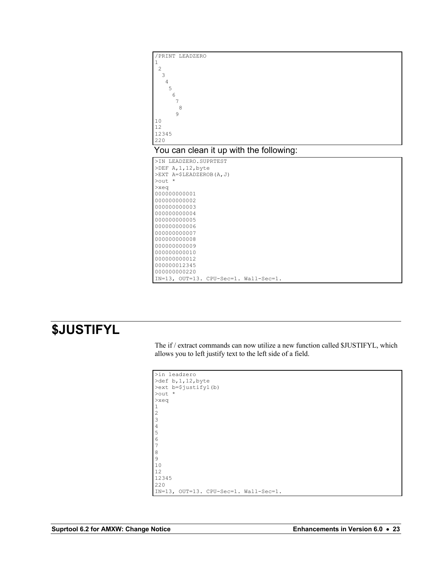

## **\$JUSTIFYL**

The if / extract commands can now utilize a new function called \$JUSTIFYL, which allows you to left justify text to the left side of a field.

```
>in leadzero
>def b,1,12,byte
>ext b=$justifyl(b)
>out *
>xeq
1
2
3
4
5
6
7
8
9
10
12
12345
220
IN=13, OUT=13. CPU-Sec=1. Wall-Sec=1.
```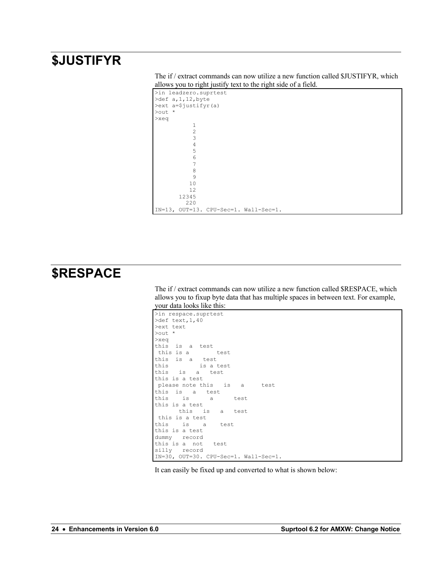### **\$JUSTIFYR**

|                                                                | The if / extract commands can now utilize a new function called \$JUSTIFYR, which |
|----------------------------------------------------------------|-----------------------------------------------------------------------------------|
| allows you to right justify text to the right side of a field. |                                                                                   |

```
>in leadzero.suprtest
>def a,1,12,byte
>ext a=$justifyr(a)
>out *
>xeq
         \frac{1}{2} 2
          3
 4
 5
 6
 7
          8
          9
        10
        12
       12345
        220
IN=13, OUT=13. CPU-Sec=1. Wall-Sec=1.
```
#### **\$RESPACE**

The if / extract commands can now utilize a new function called \$RESPACE, which allows you to fixup byte data that has multiple spaces in between text. For example, your data looks like this:

```
>in respace.suprtest
>def text, 1,40
>ext text
>out *
>xeq
this is a test
 this is a test
this is a test
this is a test
this is a test
this is a test
please note this is a test
this is a test
this is a test
this is a test
      this is a test
this is a test
     is a test
this is a test
dummy record
this is a not test
silly record
IN=30, OUT=30. CPU-Sec=1. Wall-Sec=1.
```
It can easily be fixed up and converted to what is shown below: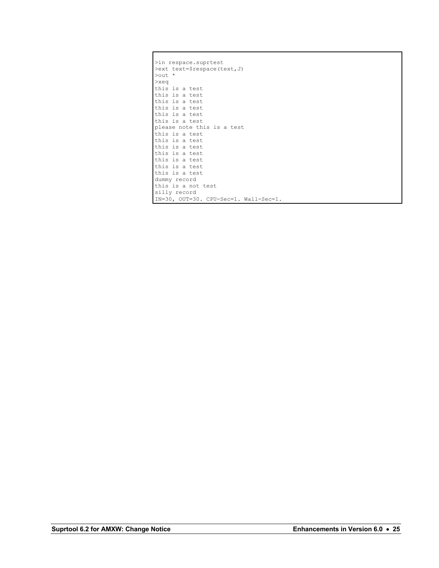| >in respace.suprtest                  |
|---------------------------------------|
| >ext text=\$respace(text, J)          |
| $\text{Out}$ *                        |
| $>$ xeq                               |
| this is a test                        |
| this is a test                        |
| this is a test                        |
| this is a test                        |
| this is a test                        |
| this is a test                        |
| please note this is a test            |
| this is a test                        |
| this is a test                        |
| this is a test                        |
| this is a test                        |
| this is a test                        |
| this is a test                        |
| this is a test                        |
| dummy record                          |
| this is a not test                    |
| silly record                          |
| IN=30, OUT=30. CPU-Sec=1. Wall-Sec=1. |